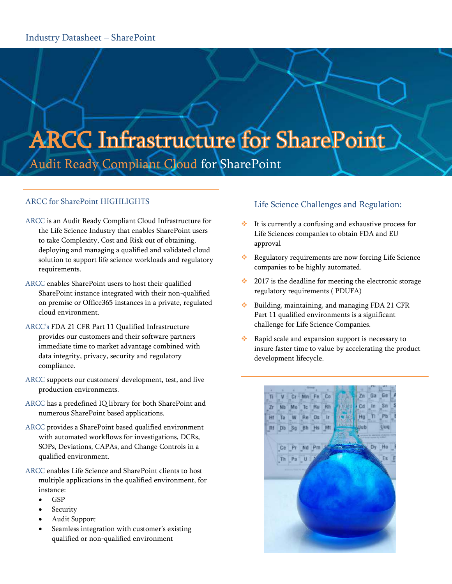# **ARCC Infrastructure for SharePoint** Audit Ready Compliant Cloud for SharePoint

## ARCC for SharePoint HIGHLIGHTS

- ARCC is an Audit Ready Compliant Cloud Infrastructure for the Life Science Industry that enables SharePoint users to take Complexity, Cost and Risk out of obtaining, deploying and managing a qualified and validated cloud solution to support life science workloads and regulatory requirements.
- ARCC enables SharePoint users to host their qualified SharePoint instance integrated with their non-qualified on premise or Office365 instances in a private, regulated cloud environment.
- ARCC's FDA 21 CFR Part 11 Qualified Infrastructure provides our customers and their software partners immediate time to market advantage combined with data integrity, privacy, security and regulatory compliance.
- ARCC supports our customers' development, test, and live production environments.
- ARCC has a predefined IQ library for both SharePoint and numerous SharePoint based applications.
- ARCC provides a SharePoint based qualified environment with automated workflows for investigations, DCRs, SOPs, Deviations, CAPAs, and Change Controls in a qualified environment.
- ARCC enables Life Science and SharePoint clients to host multiple applications in the qualified environment, for instance:
	- **GSP**
	- Security
	- Audit Support
	- Seamless integration with customer's existing qualified or non-qualified environment

# Life Science Challenges and Regulation:

- It is currently a confusing and exhaustive process for Life Sciences companies to obtain FDA and EU approval
- \* Regulatory requirements are now forcing Life Science companies to be highly automated.
- $\cdot$  2017 is the deadline for meeting the electronic storage regulatory requirements ( PDUFA)
- $\cdot$  Building, maintaining, and managing FDA 21 CFR Part 11 qualified environments is a significant challenge for Life Science Companies.
- Rapid scale and expansion support is necessary to insure faster time to value by accelerating the product development lifecycle.